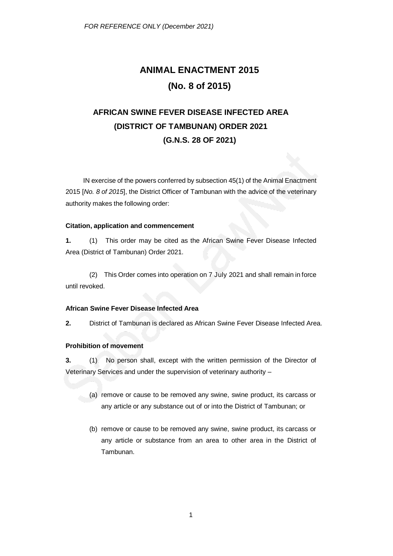# **ANIMAL ENACTMENT 2015 (No. 8 of 2015)**

## **AFRICAN SWINE FEVER DISEASE INFECTED AREA (DISTRICT OF TAMBUNAN) ORDER 2021 (G.N.S. 28 OF 2021)**

IN exercise of the powers conferred by subsection 45(1) of the Animal Enactment 2015 [*No. 8 of 2015*], the District Officer of Tambunan with the advice of the veterinary authority makes the following order:

### **Citation, application and commencement**

**1.** (1) This order may be cited as the African Swine Fever Disease Infected Area (District of Tambunan) Order 2021.

(2) This Order comes into operation on 7 July 2021 and shall remain in force until revoked.

#### **African Swine Fever Disease Infected Area**

**2.** District of Tambunan is declared as African Swine Fever Disease Infected Area.

#### **Prohibition of movement**

**3.** (1) No person shall, except with the written permission of the Director of Veterinary Services and under the supervision of veterinary authority –

- (a) remove or cause to be removed any swine, swine product, its carcass or any article or any substance out of or into the District of Tambunan; or
- (b) remove or cause to be removed any swine, swine product, its carcass or any article or substance from an area to other area in the District of Tambunan.